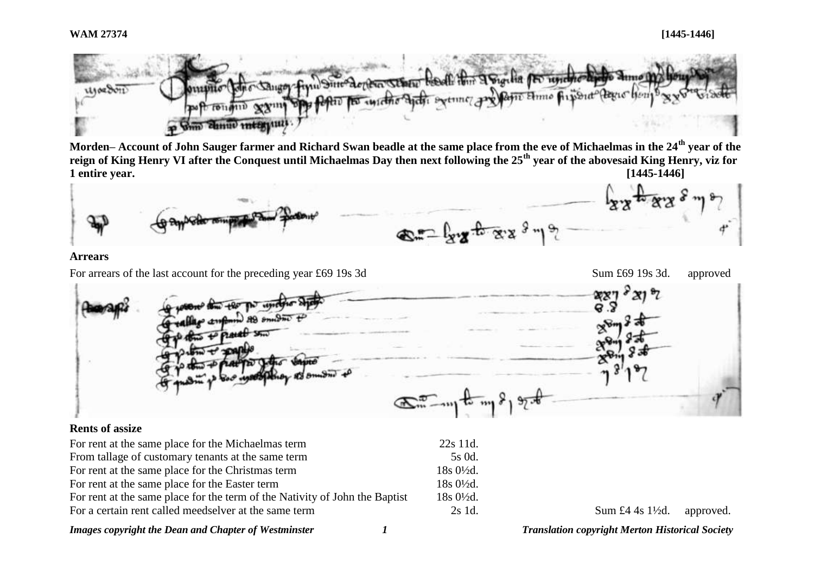

**Morden– Account of John Sauger farmer and Richard Swan beadle at the same place from the eve of Michaelmas in the 24th year of the reign of King Henry VI after the Conquest until Michaelmas Day then next following the 25th year of the abovesaid King Henry, viz for 1 entire year. [1445-1446]**



#### **Arrears**

For arrears of the last account for the preceding year £69 19s 3d Sum £69 19s 3d. approved

 $E_{\rm max} = 1$ 

### **Rents of assize**

| For rent at the same place for the Michaelmas term                          | $22s$ 11d.                     |                                       |  |
|-----------------------------------------------------------------------------|--------------------------------|---------------------------------------|--|
| From tallage of customary tenants at the same term                          | 5s 0d.                         |                                       |  |
| For rent at the same place for the Christmas term                           | $18s \frac{0\frac{1}{2}}{d}$ . |                                       |  |
| For rent at the same place for the Easter term                              | $18s0\frac{1}{2}d$ .           |                                       |  |
| For rent at the same place for the term of the Nativity of John the Baptist | $18s0\frac{1}{2}d$ .           |                                       |  |
| For a certain rent called meedselver at the same term                       | $2s$ 1d.                       | Sum £4 4s $1\frac{1}{2}d$ . approved. |  |

*Images copyright the Dean and Chapter of Westminster 1 Translation copyright Merton Historical Society*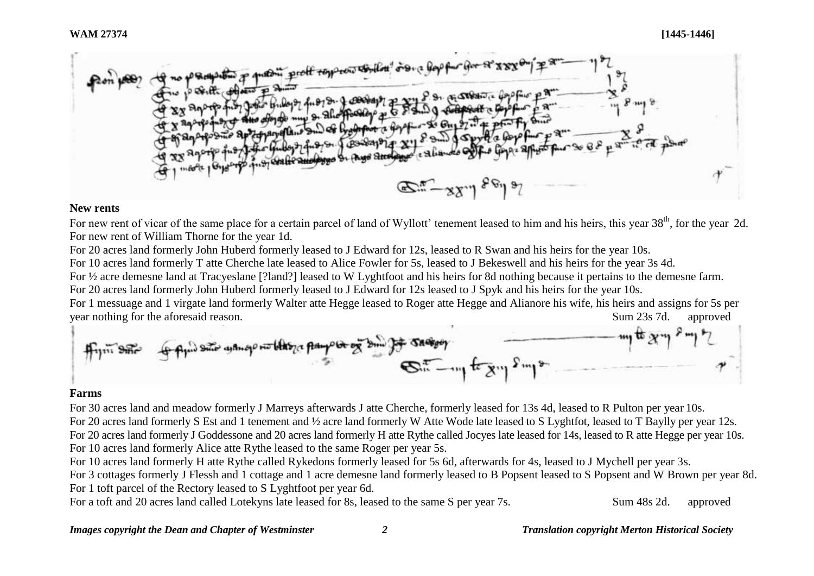

#### **New rents**

For new rent of vicar of the same place for a certain parcel of land of Wyllott' tenement leased to him and his heirs, this year 38<sup>th</sup>, for the year 2d. For new rent of William Thorne for the year 1d.

For 20 acres land formerly John Huberd formerly leased to J Edward for 12s, leased to R Swan and his heirs for the year 10s.

For 10 acres land formerly T atte Cherche late leased to Alice Fowler for 5s, leased to J Bekeswell and his heirs for the year 3s 4d.

For ½ acre demesne land at Tracyeslane [?land?] leased to W Lyghtfoot and his heirs for 8d nothing because it pertains to the demesne farm.

For 20 acres land formerly John Huberd formerly leased to J Edward for 12s leased to J Spyk and his heirs for the year 10s.

For 1 messuage and 1 virgate land formerly Walter atte Hegge leased to Roger atte Hegge and Alianore his wife, his heirs and assigns for 5s per year nothing for the aforesaid reason. Sum 23s 7d. approved

$$
\mathbf{f}_{\text{in}} = \mathbf{f}_{\text{in}} = \mathbf{f}_{\text{in}} = \mathbf{f}_{\text{in}} = \mathbf{f}_{\text{in}} = \mathbf{f}_{\text{in}} = \mathbf{f}_{\text{in}} = \mathbf{f}_{\text{in}} = \mathbf{f}_{\text{in}} = \mathbf{f}_{\text{in}} = \mathbf{f}_{\text{in}} = \mathbf{f}_{\text{in}} = \mathbf{f}_{\text{in}} = \mathbf{f}_{\text{in}} = \mathbf{f}_{\text{in}} = \mathbf{f}_{\text{in}} = \mathbf{f}_{\text{in}} = \mathbf{f}_{\text{in}} = \mathbf{f}_{\text{in}} = \mathbf{f}_{\text{in}} = \mathbf{f}_{\text{in}} = \mathbf{f}_{\text{in}} = \mathbf{f}_{\text{in}} = \mathbf{f}_{\text{in}} = \mathbf{f}_{\text{in}} = \mathbf{f}_{\text{in}} = \mathbf{f}_{\text{in}} = \mathbf{f}_{\text{in}} = \mathbf{f}_{\text{in}} = \mathbf{f}_{\text{in}} = \mathbf{f}_{\text{in}} = \mathbf{f}_{\text{in}} = \mathbf{f}_{\text{in}} = \mathbf{f}_{\text{in}} = \mathbf{f}_{\text{in}} = \mathbf{f}_{\text{in}} = \mathbf{f}_{\text{in}} = \mathbf{f}_{\text{in}} = \mathbf{f}_{\text{in}} = \mathbf{f}_{\text{in}} = \mathbf{f}_{\text{in}} = \mathbf{f}_{\text{in}} = \mathbf{f}_{\text{in}} = \mathbf{f}_{\text{in}} = \mathbf{f}_{\text{in}} = \mathbf{f}_{\text{in}} = \mathbf{f}_{\text{in}} = \mathbf{f}_{\text{in}} = \mathbf{f}_{\text{in}} = \mathbf{f}_{\text{in}} = \mathbf{f}_{\text{in}} = \mathbf{f}_{\text{in}} = \mathbf{f}_{\text{in}} = \mathbf{f}_{\text{in}} = \mathbf{f}_{\text{in}} = \mathbf{f}_{\text{in}} = \mathbf{f}_{\text{in}} = \mathbf{f}_{\text{in}} = \mathbf{f}_{\text{in}} = \mathbf{f}_{\text{in}} = \mathbf{f}_{\text{in}} = \mathbf{f}_{\text{in}} = \mathbf{f}_{\text{in}} = \mathbf{
$$

## **Farms**

For 30 acres land and meadow formerly J Marreys afterwards J atte Cherche, formerly leased for 13s 4d, leased to R Pulton per year 10s. For 20 acres land formerly S Est and 1 tenement and ½ acre land formerly W Atte Wode late leased to S Lyghtfot, leased to T Baylly per year 12s. For 20 acres land formerly J Goddessone and 20 acres land formerly H atte Rythe called Jocyes late leased for 14s, leased to R atte Hegge per year 10s. For 10 acres land formerly Alice atte Rythe leased to the same Roger per year 5s.

For 10 acres land formerly H atte Rythe called Rykedons formerly leased for 5s 6d, afterwards for 4s, leased to J Mychell per year 3s.

For 3 cottages formerly J Flessh and 1 cottage and 1 acre demesne land formerly leased to B Popsent leased to S Popsent and W Brown per year 8d. For 1 toft parcel of the Rectory leased to S Lyghtfoot per year 6d.

For a toft and 20 acres land called Lotekyns late leased for 8s, leased to the same S per year 7s. Sum 48s 2d. approved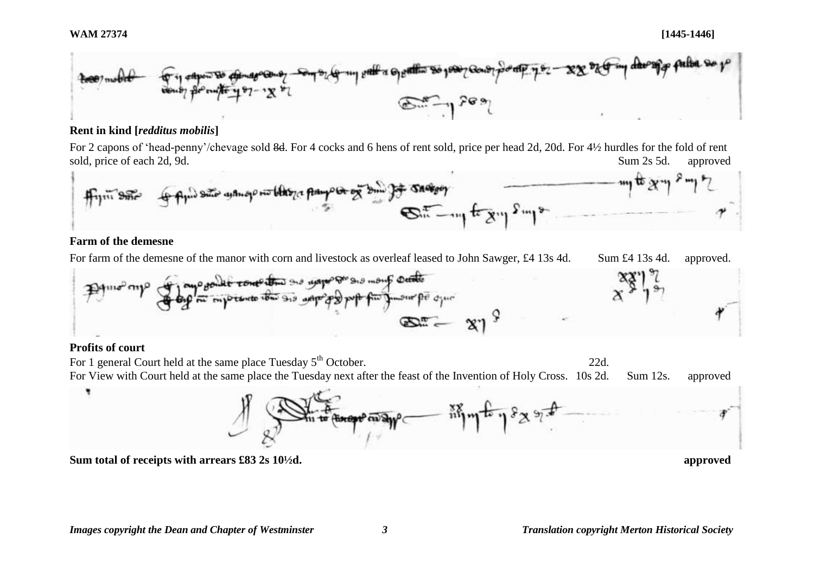

## **Rent in kind [***redditus mobilis***]**

For 2 capons of 'head-penny'/chevage sold 8d. For 4 cocks and 6 hens of rent sold, price per head 2d, 20d. For 4½ hurdles for the fold of rent sold, price of each 2d, 9d.  $\Box$  approved sold, price of each 2d, 9d.  $\Box$  sum 2s 5d. approved



## **Farm of the demesne**

For farm of the demesne of the manor with corn and livestock as overleaf leased to John Sawger, £4 13s 4d. Sum £4 13s 4d. approved.



# **Profits of court**

For 1 general Court held at the same place Tuesday  $5<sup>th</sup>$  October. 22d. For View with Court held at the same place the Tuesday next after the feast of the Invention of Holy Cross. 10s 2d. Sum 12s. approved  $\frac{1}{2}$  in the past  $\frac{1}{2}$ in to finest man ?

**Sum total of receipts with arrears £83 2s 10½d. approved**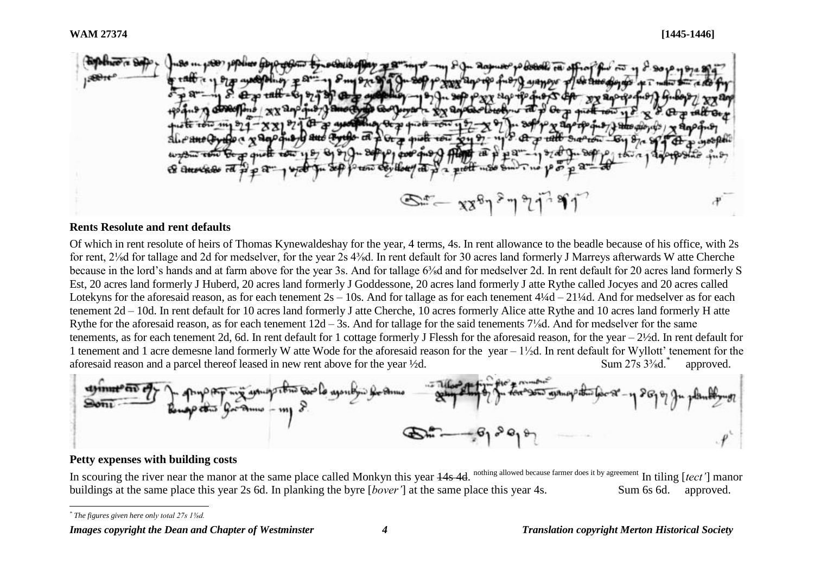

### **Rents Resolute and rent defaults**

Of which in rent resolute of heirs of Thomas Kynewaldeshay for the year, 4 terms, 4s. In rent allowance to the beadle because of his office, with 2s for rent, 2⅛d for tallage and 2d for medselver, for the year 2s 4⅜d. In rent default for 30 acres land formerly J Marreys afterwards W atte Cherche because in the lord's hands and at farm above for the year 3s. And for tallage 6⅜d and for medselver 2d. In rent default for 20 acres land formerly S Est, 20 acres land formerly J Huberd, 20 acres land formerly J Goddessone, 20 acres land formerly J atte Rythe called Jocyes and 20 acres called Lotekyns for the aforesaid reason, as for each tenement  $2s - 10s$ . And for tallage as for each tenement  $4\frac{1}{4} - 21\frac{1}{4}d$ . And for medselver as for each tenement 2d – 10d. In rent default for 10 acres land formerly J atte Cherche, 10 acres formerly Alice atte Rythe and 10 acres land formerly H atte Rythe for the aforesaid reason, as for each tenement  $12d - 3s$ . And for tallage for the said tenements  $7\frac{1}{8}d$ . And for medselver for the same tenements, as for each tenement 2d, 6d. In rent default for 1 cottage formerly J Flessh for the aforesaid reason, for the year – 2½d. In rent default for 1 tenement and 1 acre demesne land formerly W atte Wode for the aforesaid reason for the year  $-1/2d$ . In rent default for Wyllott' tenement for the aforesaid reason and a parcel thereof leased in new rent above for the year  $\frac{1}{2}d$ . Sum 27s  $\frac{3}{8}d$ . approved.



### **Petty expenses with building costs**

In scouring the river near the manor at the same place called Monkyn this year  $14s/4d$ . nothing allowed because farmer does it by agreement In tiling [*tect'*] manor buildings at the same place this year 2s 6d. In planking the byre [*bover'*] at the same place this year 4s. Sum 6s 6d. approved.

l *\* The figures given here only total 27s 1⅜d.*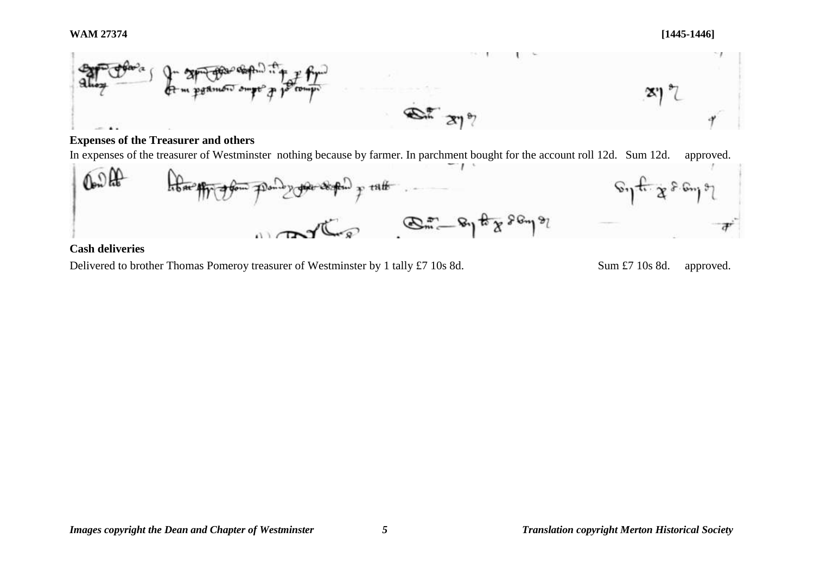

# **Expenses of the Treasurer and others**

In expenses of the treasurer of Westminster nothing because by farmer. In parchment bought for the account roll 12d. Sum 12d. approved.



## **Cash deliveries**

Delivered to brother Thomas Pomeroy treasurer of Westminster by 1 tally £7 10s 8d. Sum £7 10s 8d. approved.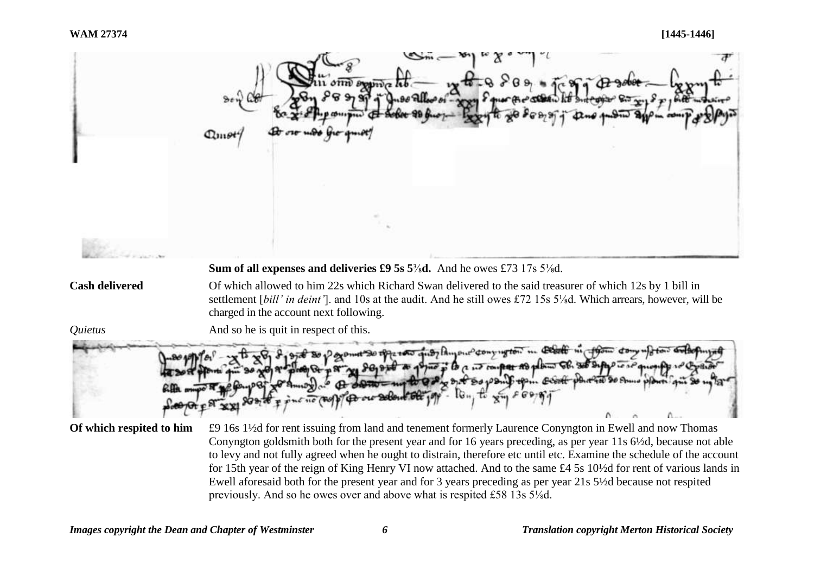

to levy and not fully agreed when he ought to distrain, therefore etc until etc. Examine the schedule of the account for 15th year of the reign of King Henry VI now attached. And to the same £4 5s 10½d for rent of various lands in Ewell aforesaid both for the present year and for 3 years preceding as per year 21s 5½d because not respited previously. And so he owes over and above what is respited £58 13s 5⅛d.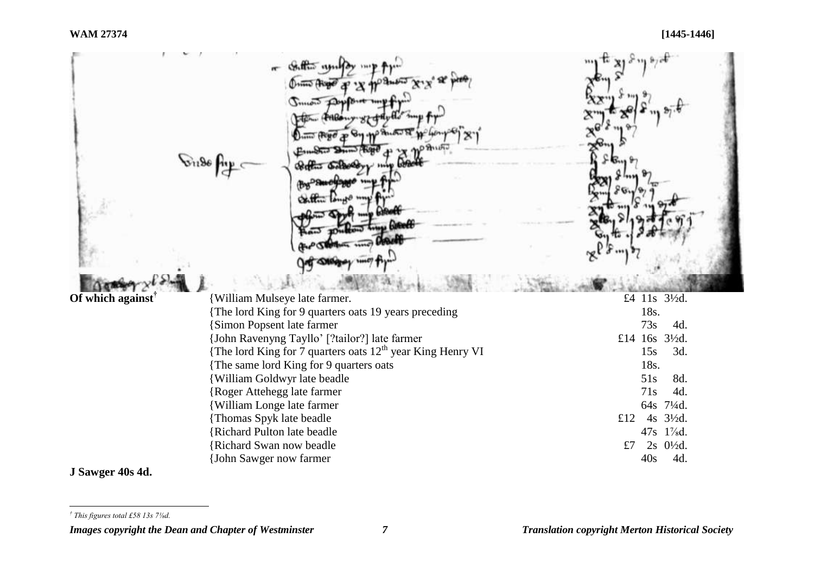|                                                  | Contro unifer<br>Junois De<br>Literatur.<br>61286<br>28 cH      |                                                            |
|--------------------------------------------------|-----------------------------------------------------------------|------------------------------------------------------------|
| Of which against <sup><math>\dagger</math></sup> | William Mulseye late farmer.                                    | £4 11s 31/2d.                                              |
|                                                  | {The lord King for 9 quarters oats 19 years preceding           | 18s.                                                       |
|                                                  | <b>{Simon Popsent late farmer</b>                               | 73s<br>4d.                                                 |
|                                                  | {John Ravenyng Tayllo' [?tailor?] late farmer                   | £14 16s 31/2d.                                             |
|                                                  | {The lord King for 7 quarters oats $12^{th}$ year King Henry VI | 15s<br>3d.                                                 |
|                                                  | The same lord King for 9 quarters oats                          | 18s.                                                       |
|                                                  | <b>{William Goldwyr late beadle</b>                             | 51s<br>8d.                                                 |
|                                                  | {Roger Attehegg late farmer                                     | 71s<br>4d.                                                 |
|                                                  | <b>{William Longe late farmer</b>                               | 64s 71/4d.<br>$4s$ 3 <sup>1</sup> / <sub>2</sub> d.<br>£12 |
|                                                  | {Thomas Spyk late beadle<br><b>{Richard Pulton late beadle</b>  | 47s 1%d.                                                   |
|                                                  | <b>{Richard Swan now beadle</b>                                 | £7<br>$2s \frac{0!}{2d}$ .                                 |
|                                                  | {John Sawger now farmer                                         | 40s<br>4d.                                                 |
|                                                  |                                                                 |                                                            |

# **J Sawger 40s 4d.**

*Images copyright the Dean and Chapter of Westminster 7 Translation copyright Merton Historical Society*

 *† This figures total £58 13s 7⅛d.*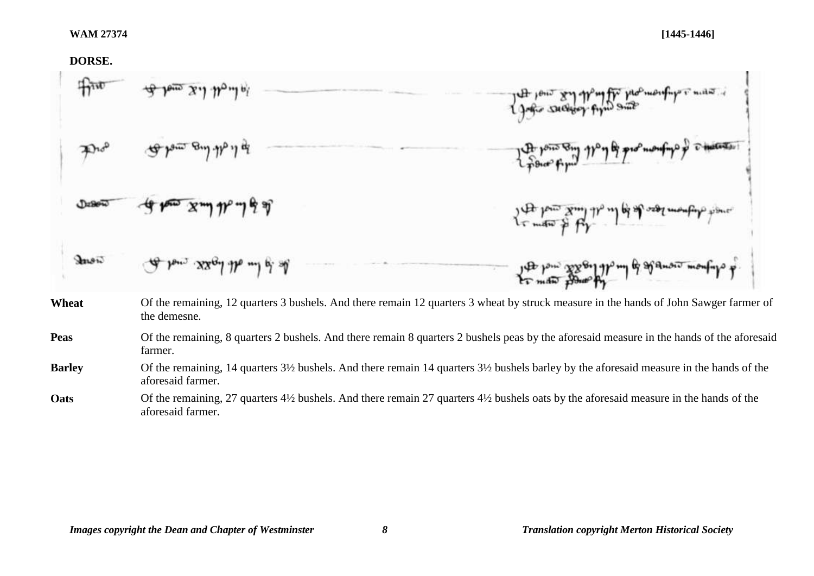## **DORSE.**

×.

|       | of tom xil thoule           | Light sucher firm some                                                                                                                    |
|-------|-----------------------------|-------------------------------------------------------------------------------------------------------------------------------------------|
|       | To be and the its           | the point Eng 110 y of promouting of the content                                                                                          |
|       |                             | to meter of for any of of the resolution figures                                                                                          |
| Jones | de low xxaal the mil of all | you pour popolar of my of sport was                                                                                                       |
| Wheat | the demesne.                | Of the remaining, 12 quarters 3 bushels. And there remain 12 quarters 3 wheat by struck measure in the hands of John Sawger farmer of     |
| Peas  | farmer.                     | Of the remaining, 8 quarters 2 bushels. And there remain 8 quarters 2 bushels peas by the aforesaid measure in the hands of the aforesaid |

**Barley** Of the remaining, 14 quarters 3½ bushels. And there remain 14 quarters 3½ bushels barley by the aforesaid measure in the hands of the aforesaid farmer.

Oats Of the remaining, 27 quarters 4<sup>1/2</sup> bushels. And there remain 27 quarters 4<sup>1</sup>/2 bushels oats by the aforesaid measure in the hands of the aforesaid farmer.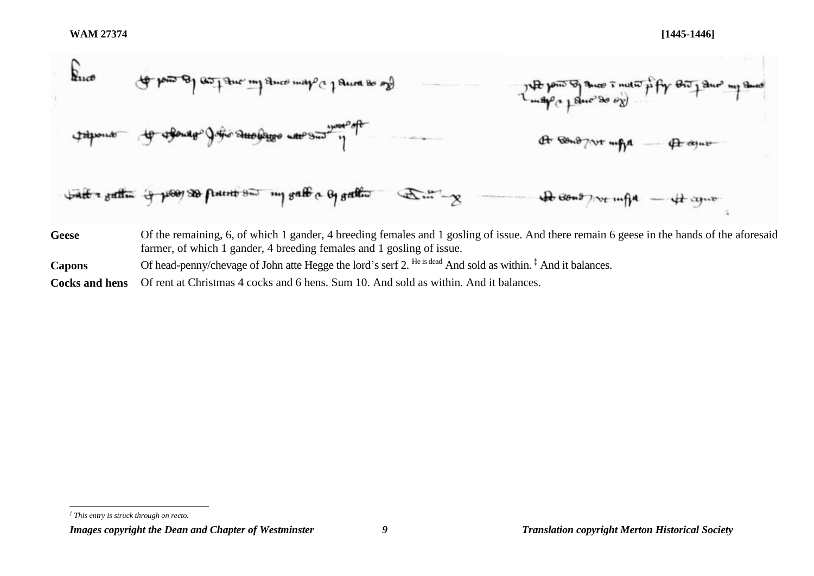

l

*Images copyright the Dean and Chapter of Westminster 9 Translation copyright Merton Historical Society*

*<sup>‡</sup> This entry is struck through on recto.*